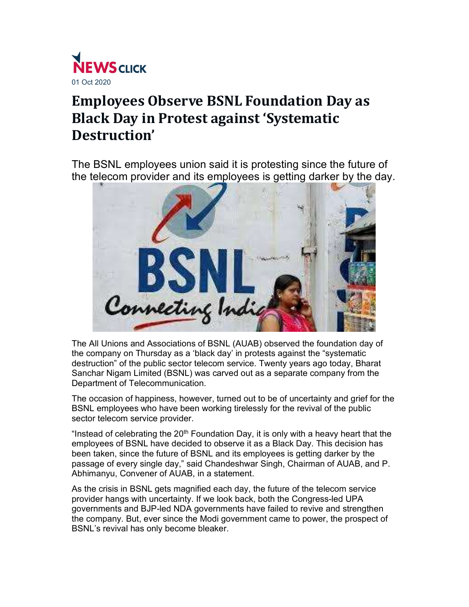

## Employees Observe BSNL Foundation Day as Black Day in Protest against 'Systematic Destruction'

The BSNL employees union said it is protesting since the future of the telecom provider and its employees is getting darker by the day.



The All Unions and Associations of BSNL (AUAB) observed the foundation day of the company on Thursday as a 'black day' in protests against the "systematic destruction" of the public sector telecom service. Twenty years ago today, Bharat Sanchar Nigam Limited (BSNL) was carved out as a separate company from the Department of Telecommunication.

The occasion of happiness, however, turned out to be of uncertainty and grief for the BSNL employees who have been working tirelessly for the revival of the public sector telecom service provider.

"Instead of celebrating the  $20<sup>th</sup>$  Foundation Day, it is only with a heavy heart that the employees of BSNL have decided to observe it as a Black Day. This decision has been taken, since the future of BSNL and its employees is getting darker by the passage of every single day," said Chandeshwar Singh, Chairman of AUAB, and P. Abhimanyu, Convener of AUAB, in a statement.

As the crisis in BSNL gets magnified each day, the future of the telecom service provider hangs with uncertainty. If we look back, both the Congress-led UPA governments and BJP-led NDA governments have failed to revive and strengthen the company. But, ever since the Modi government came to power, the prospect of BSNL's revival has only become bleaker.